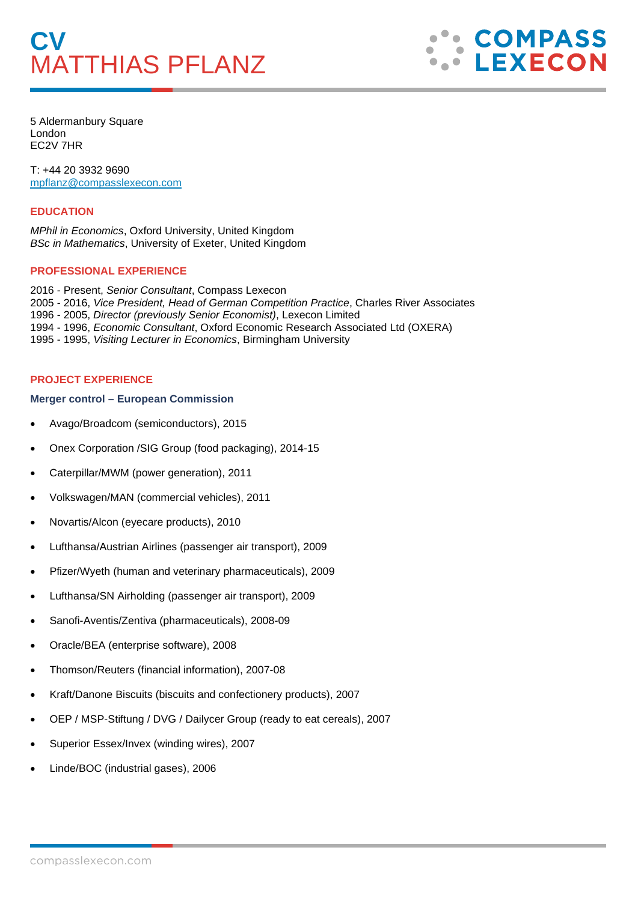

5 Aldermanbury Square London EC2V 7HR

T: +44 20 3932 9690 [mpflanz@compasslexecon.com](mailto:mpflanz@compasslexecon.com) 

### **EDUCATION**

*MPhil in Economics*, Oxford University, United Kingdom *BSc in Mathematics*, University of Exeter, United Kingdom

## **PROFESSIONAL EXPERIENCE**

2016 - Present, *Senior Consultant*, Compass Lexecon 2005 - 2016, *Vice President, Head of German Competition Practice*, Charles River Associates 1996 - 2005, *Director (previously Senior Economist)*, Lexecon Limited 1994 - 1996, *Economic Consultant*, Oxford Economic Research Associated Ltd (OXERA) 1995 - 1995, *Visiting Lecturer in Economics*, Birmingham University

# **PROJECT EXPERIENCE**

### **Merger control – European Commission**

- Avago/Broadcom (semiconductors), 2015
- Onex Corporation /SIG Group (food packaging), 2014-15
- Caterpillar/MWM (power generation), 2011
- Volkswagen/MAN (commercial vehicles), 2011
- Novartis/Alcon (eyecare products), 2010
- Lufthansa/Austrian Airlines (passenger air transport), 2009
- Pfizer/Wyeth (human and veterinary pharmaceuticals), 2009
- Lufthansa/SN Airholding (passenger air transport), 2009
- Sanofi-Aventis/Zentiva (pharmaceuticals), 2008-09
- Oracle/BEA (enterprise software), 2008
- Thomson/Reuters (financial information), 2007-08
- Kraft/Danone Biscuits (biscuits and confectionery products), 2007
- OEP / MSP-Stiftung / DVG / Dailycer Group (ready to eat cereals), 2007
- Superior Essex/Invex (winding wires), 2007
- Linde/BOC (industrial gases), 2006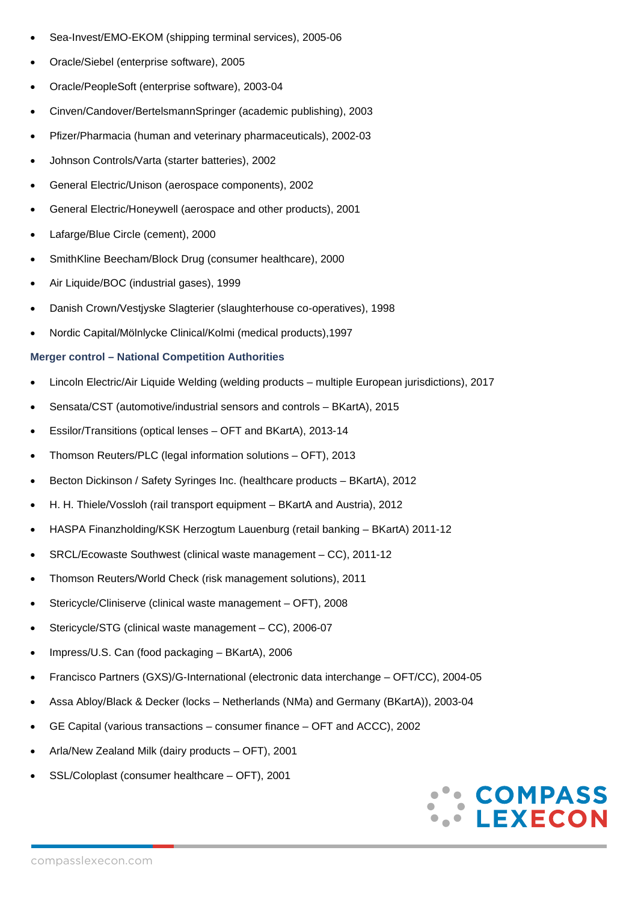- Sea-Invest/EMO-EKOM (shipping terminal services), 2005-06
- Oracle/Siebel (enterprise software), 2005
- Oracle/PeopleSoft (enterprise software), 2003-04
- Cinven/Candover/BertelsmannSpringer (academic publishing), 2003
- Pfizer/Pharmacia (human and veterinary pharmaceuticals), 2002-03
- Johnson Controls/Varta (starter batteries), 2002
- General Electric/Unison (aerospace components), 2002
- General Electric/Honeywell (aerospace and other products), 2001
- Lafarge/Blue Circle (cement), 2000
- SmithKline Beecham/Block Drug (consumer healthcare), 2000
- Air Liquide/BOC (industrial gases), 1999
- Danish Crown/Vestjyske Slagterier (slaughterhouse co-operatives), 1998
- Nordic Capital/Mölnlycke Clinical/Kolmi (medical products),1997

## **Merger control – National Competition Authorities**

- Lincoln Electric/Air Liquide Welding (welding products multiple European jurisdictions), 2017
- Sensata/CST (automotive/industrial sensors and controls BKartA), 2015
- Essilor/Transitions (optical lenses OFT and BKartA), 2013-14
- Thomson Reuters/PLC (legal information solutions OFT), 2013
- Becton Dickinson / Safety Syringes Inc. (healthcare products BKartA), 2012
- H. H. Thiele/Vossloh (rail transport equipment BKartA and Austria), 2012
- HASPA Finanzholding/KSK Herzogtum Lauenburg (retail banking BKartA) 2011-12
- SRCL/Ecowaste Southwest (clinical waste management CC), 2011-12
- Thomson Reuters/World Check (risk management solutions), 2011
- Stericycle/Cliniserve (clinical waste management OFT), 2008
- Stericycle/STG (clinical waste management CC), 2006-07
- Impress/U.S. Can (food packaging BKartA), 2006
- Francisco Partners (GXS)/G-International (electronic data interchange OFT/CC), 2004-05
- Assa Abloy/Black & Decker (locks Netherlands (NMa) and Germany (BKartA)), 2003-04
- GE Capital (various transactions consumer finance OFT and ACCC), 2002
- Arla/New Zealand Milk (dairy products OFT), 2001
- SSL/Coloplast (consumer healthcare OFT), 2001

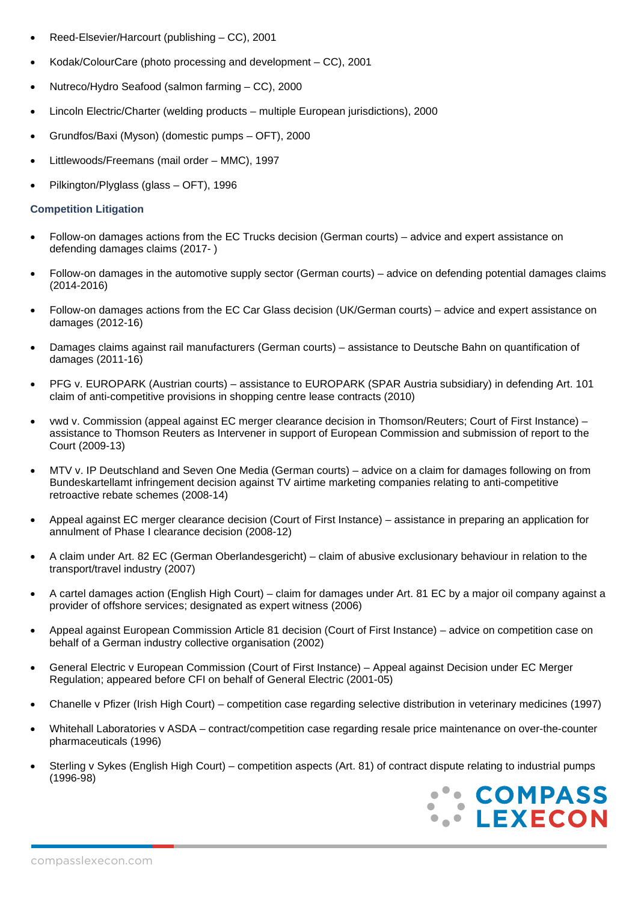- Reed-Elsevier/Harcourt (publishing CC), 2001
- Kodak/ColourCare (photo processing and development CC), 2001
- Nutreco/Hydro Seafood (salmon farming CC), 2000
- Lincoln Electric/Charter (welding products multiple European jurisdictions), 2000
- Grundfos/Baxi (Myson) (domestic pumps OFT), 2000
- Littlewoods/Freemans (mail order MMC), 1997
- Pilkington/Plyglass (glass OFT), 1996

## **Competition Litigation**

- Follow-on damages actions from the EC Trucks decision (German courts) advice and expert assistance on defending damages claims (2017- )
- Follow-on damages in the automotive supply sector (German courts) advice on defending potential damages claims (2014-2016)
- Follow-on damages actions from the EC Car Glass decision (UK/German courts) advice and expert assistance on damages (2012-16)
- Damages claims against rail manufacturers (German courts) assistance to Deutsche Bahn on quantification of damages (2011-16)
- PFG v. EUROPARK (Austrian courts) assistance to EUROPARK (SPAR Austria subsidiary) in defending Art. 101 claim of anti-competitive provisions in shopping centre lease contracts (2010)
- vwd v. Commission (appeal against EC merger clearance decision in Thomson/Reuters; Court of First Instance) assistance to Thomson Reuters as Intervener in support of European Commission and submission of report to the Court (2009-13)
- MTV v. IP Deutschland and Seven One Media (German courts) advice on a claim for damages following on from Bundeskartellamt infringement decision against TV airtime marketing companies relating to anti-competitive retroactive rebate schemes (2008-14)
- Appeal against EC merger clearance decision (Court of First Instance) assistance in preparing an application for annulment of Phase I clearance decision (2008-12)
- A claim under Art. 82 EC (German Oberlandesgericht) claim of abusive exclusionary behaviour in relation to the transport/travel industry (2007)
- A cartel damages action (English High Court) claim for damages under Art. 81 EC by a major oil company against a provider of offshore services; designated as expert witness (2006)
- Appeal against European Commission Article 81 decision (Court of First Instance) advice on competition case on behalf of a German industry collective organisation (2002)
- General Electric v European Commission (Court of First Instance) Appeal against Decision under EC Merger Regulation; appeared before CFI on behalf of General Electric (2001-05)
- Chanelle v Pfizer (Irish High Court) competition case regarding selective distribution in veterinary medicines (1997)
- Whitehall Laboratories v ASDA contract/competition case regarding resale price maintenance on over-the-counter pharmaceuticals (1996)
- Sterling v Sykes (English High Court) competition aspects (Art. 81) of contract dispute relating to industrial pumps (1996-98)

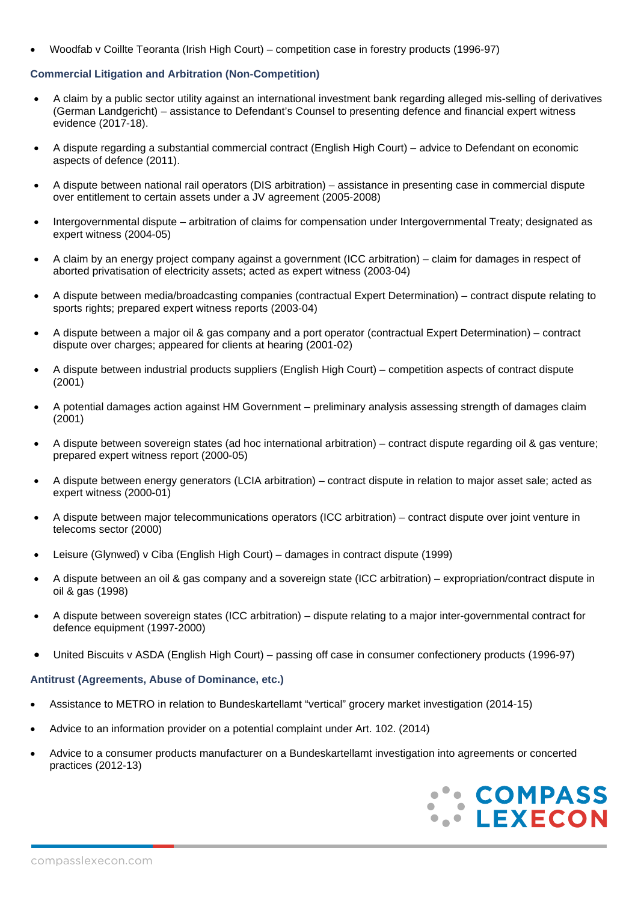• Woodfab v Coillte Teoranta (Irish High Court) – competition case in forestry products (1996-97)

## **Commercial Litigation and Arbitration (Non-Competition)**

- A claim by a public sector utility against an international investment bank regarding alleged mis-selling of derivatives (German Landgericht) – assistance to Defendant's Counsel to presenting defence and financial expert witness evidence (2017-18).
- A dispute regarding a substantial commercial contract (English High Court) advice to Defendant on economic aspects of defence (2011).
- A dispute between national rail operators (DIS arbitration) assistance in presenting case in commercial dispute over entitlement to certain assets under a JV agreement (2005-2008)
- Intergovernmental dispute arbitration of claims for compensation under Intergovernmental Treaty; designated as expert witness (2004-05)
- A claim by an energy project company against a government (ICC arbitration) claim for damages in respect of aborted privatisation of electricity assets; acted as expert witness (2003-04)
- A dispute between media/broadcasting companies (contractual Expert Determination) contract dispute relating to sports rights; prepared expert witness reports (2003-04)
- A dispute between a major oil & gas company and a port operator (contractual Expert Determination) contract dispute over charges; appeared for clients at hearing (2001-02)
- A dispute between industrial products suppliers (English High Court) competition aspects of contract dispute  $(2001)$
- A potential damages action against HM Government preliminary analysis assessing strength of damages claim (2001)
- A dispute between sovereign states (ad hoc international arbitration) contract dispute regarding oil & gas venture; prepared expert witness report (2000-05)
- A dispute between energy generators (LCIA arbitration) contract dispute in relation to major asset sale; acted as expert witness (2000-01)
- A dispute between major telecommunications operators (ICC arbitration) contract dispute over joint venture in telecoms sector (2000)
- Leisure (Glynwed) v Ciba (English High Court) damages in contract dispute (1999)
- A dispute between an oil & gas company and a sovereign state (ICC arbitration) expropriation/contract dispute in oil & gas (1998)
- A dispute between sovereign states (ICC arbitration) dispute relating to a major inter-governmental contract for defence equipment (1997-2000)
- United Biscuits v ASDA (English High Court) passing off case in consumer confectionery products (1996-97)

### **Antitrust (Agreements, Abuse of Dominance, etc.)**

- Assistance to METRO in relation to Bundeskartellamt "vertical" grocery market investigation (2014-15)
- Advice to an information provider on a potential complaint under Art. 102. (2014)
- Advice to a consumer products manufacturer on a Bundeskartellamt investigation into agreements or concerted practices (2012-13)

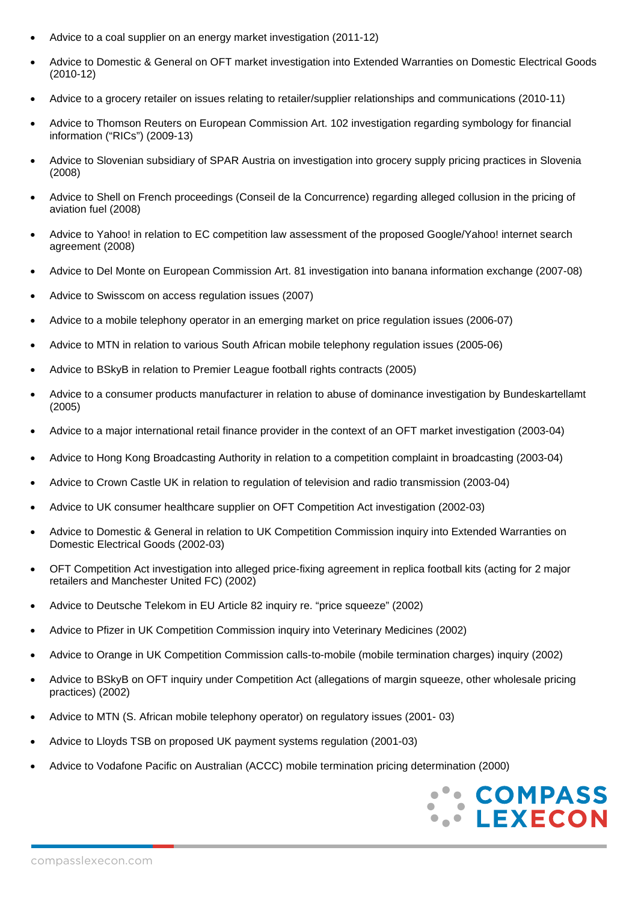- Advice to a coal supplier on an energy market investigation (2011-12)
- Advice to Domestic & General on OFT market investigation into Extended Warranties on Domestic Electrical Goods (2010-12)
- Advice to a grocery retailer on issues relating to retailer/supplier relationships and communications (2010-11)
- Advice to Thomson Reuters on European Commission Art. 102 investigation regarding symbology for financial information ("RICs") (2009-13)
- Advice to Slovenian subsidiary of SPAR Austria on investigation into grocery supply pricing practices in Slovenia (2008)
- Advice to Shell on French proceedings (Conseil de la Concurrence) regarding alleged collusion in the pricing of aviation fuel (2008)
- Advice to Yahoo! in relation to EC competition law assessment of the proposed Google/Yahoo! internet search agreement (2008)
- Advice to Del Monte on European Commission Art. 81 investigation into banana information exchange (2007-08)
- Advice to Swisscom on access regulation issues (2007)
- Advice to a mobile telephony operator in an emerging market on price regulation issues (2006-07)
- Advice to MTN in relation to various South African mobile telephony regulation issues (2005-06)
- Advice to BSkyB in relation to Premier League football rights contracts (2005)
- Advice to a consumer products manufacturer in relation to abuse of dominance investigation by Bundeskartellamt (2005)
- Advice to a major international retail finance provider in the context of an OFT market investigation (2003-04)
- Advice to Hong Kong Broadcasting Authority in relation to a competition complaint in broadcasting (2003-04)
- Advice to Crown Castle UK in relation to regulation of television and radio transmission (2003-04)
- Advice to UK consumer healthcare supplier on OFT Competition Act investigation (2002-03)
- Advice to Domestic & General in relation to UK Competition Commission inquiry into Extended Warranties on Domestic Electrical Goods (2002-03)
- OFT Competition Act investigation into alleged price-fixing agreement in replica football kits (acting for 2 major retailers and Manchester United FC) (2002)
- Advice to Deutsche Telekom in EU Article 82 inquiry re. "price squeeze" (2002)
- Advice to Pfizer in UK Competition Commission inquiry into Veterinary Medicines (2002)
- Advice to Orange in UK Competition Commission calls-to-mobile (mobile termination charges) inquiry (2002)
- Advice to BSkyB on OFT inquiry under Competition Act (allegations of margin squeeze, other wholesale pricing practices) (2002)
- Advice to MTN (S. African mobile telephony operator) on regulatory issues (2001- 03)
- Advice to Lloyds TSB on proposed UK payment systems regulation (2001-03)
- Advice to Vodafone Pacific on Australian (ACCC) mobile termination pricing determination (2000)

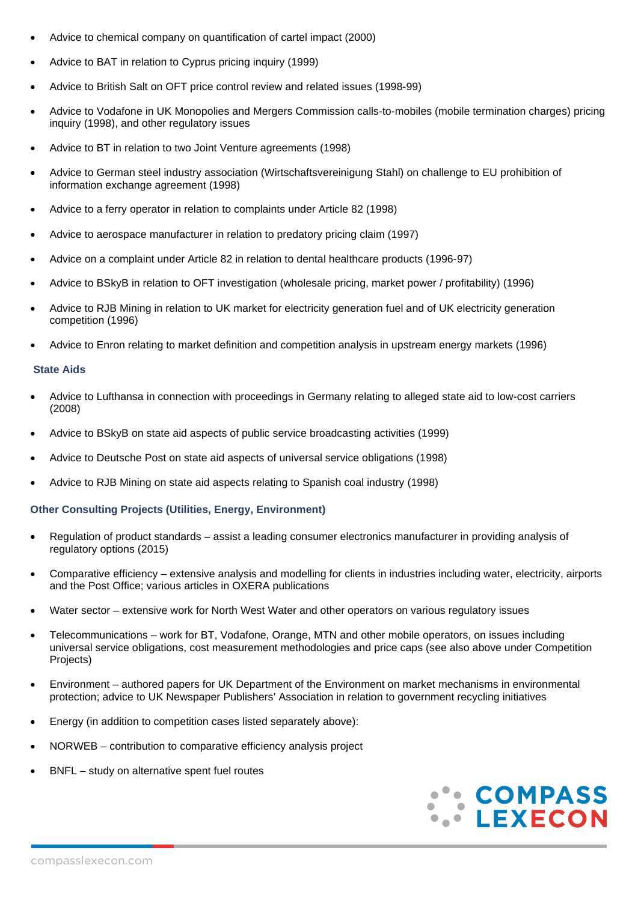- Advice to chemical company on quantification of cartel impact (2000)
- Advice to BAT in relation to Cyprus pricing inquiry (1999)
- Advice to British Salt on OFT price control review and related issues (1998-99)
- Advice to Vodafone in UK Monopolies and Mergers Commission calls-to-mobiles (mobile termination charges) pricing inquiry (1998), and other regulatory issues
- Advice to BT in relation to two Joint Venture agreements (1998)
- Advice to German steel industry association (Wirtschaftsvereinigung Stahl) on challenge to EU prohibition of information exchange agreement (1998)
- Advice to a ferry operator in relation to complaints under Article 82 (1998)
- Advice to aerospace manufacturer in relation to predatory pricing claim (1997)
- Advice on a complaint under Article 82 in relation to dental healthcare products (1996-97)
- Advice to BSkyB in relation to OFT investigation (wholesale pricing, market power / profitability) (1996)
- Advice to RJB Mining in relation to UK market for electricity generation fuel and of UK electricity generation competition (1996)
- Advice to Enron relating to market definition and competition analysis in upstream energy markets (1996)

### **State Aids**

- Advice to Lufthansa in connection with proceedings in Germany relating to alleged state aid to low-cost carriers (2008)
- Advice to BSkyB on state aid aspects of public service broadcasting activities (1999)
- Advice to Deutsche Post on state aid aspects of universal service obligations (1998)
- Advice to RJB Mining on state aid aspects relating to Spanish coal industry (1998)

# **Other Consulting Projects (Utilities, Energy, Environment)**

- Regulation of product standards assist a leading consumer electronics manufacturer in providing analysis of regulatory options (2015)
- Comparative efficiency extensive analysis and modelling for clients in industries including water, electricity, airports and the Post Office; various articles in OXERA publications
- Water sector extensive work for North West Water and other operators on various regulatory issues
- Telecommunications work for BT, Vodafone, Orange, MTN and other mobile operators, on issues including universal service obligations, cost measurement methodologies and price caps (see also above under Competition Projects)
- Environment authored papers for UK Department of the Environment on market mechanisms in environmental protection; advice to UK Newspaper Publishers' Association in relation to government recycling initiatives
- Energy (in addition to competition cases listed separately above):
- NORWEB contribution to comparative efficiency analysis project
- BNFL study on alternative spent fuel routes